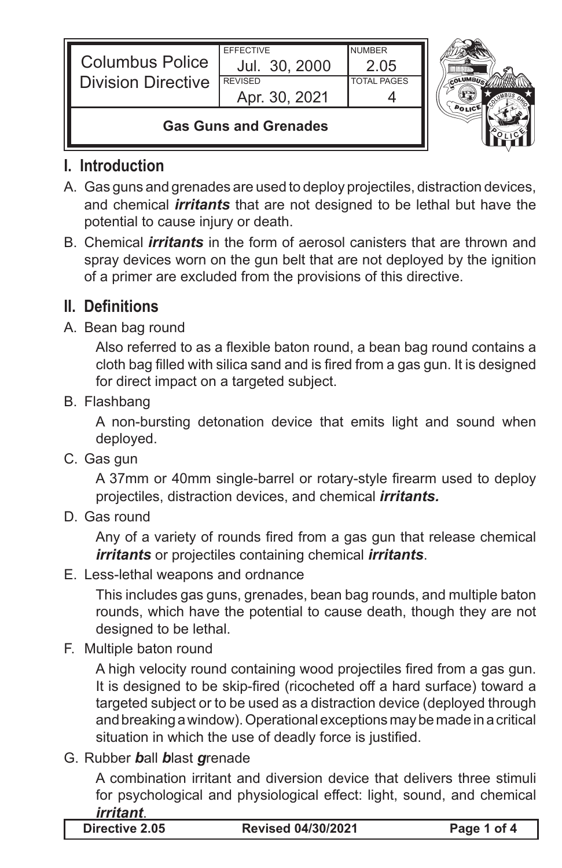| <b>Columbus Police</b><br><b>Division Directive</b> | <b>EFFECTIVE</b><br>Jul. 30, 2000<br><b>REVISED</b><br>Apr. 30, 2021 | <b>NUMBER</b><br>2 0.5<br><b>TOTAL PAGES</b> |  |
|-----------------------------------------------------|----------------------------------------------------------------------|----------------------------------------------|--|
| <b>Gas Guns and Grenades</b>                        |                                                                      |                                              |  |

## **I. Introduction**

- A. Gas guns and grenades are used to deploy projectiles, distraction devices, and chemical *irritants* that are not designed to be lethal but have the potential to cause injury or death.
- B. Chemical *irritants* in the form of aerosol canisters that are thrown and spray devices worn on the gun belt that are not deployed by the ignition of a primer are excluded from the provisions of this directive.

# **II. Definitions**

### A. Bean bag round

 Also referred to as a flexible baton round, a bean bag round contains a cloth bag filled with silica sand and is fired from a gas gun. It is designed for direct impact on a targeted subject.

B. Flashbang

A non-bursting detonation device that emits light and sound when deployed.

C. Gas gun

 A 37mm or 40mm single-barrel or rotary-style firearm used to deploy projectiles, distraction devices, and chemical *irritants.*

D. Gas round

 Any of a variety of rounds fired from a gas gun that release chemical *irritants* or projectiles containing chemical *irritants*.

E. Less-lethal weapons and ordnance

This includes gas guns, grenades, bean bag rounds, and multiple baton rounds, which have the potential to cause death, though they are not designed to be lethal.

F. Multiple baton round

 A high velocity round containing wood projectiles fired from a gas gun. It is designed to be skip-fired (ricocheted off a hard surface) toward a targeted subject or to be used as a distraction device (deployed through and breaking a window). Operational exceptions may be made in a critical situation in which the use of deadly force is justified.

G. Rubber *b*all *b*last *g*renade

A combination irritant and diversion device that delivers three stimuli for psychological and physiological effect: light, sound, and chemical *irritant*.

| <b>Directive 2.05</b> |  |
|-----------------------|--|
|-----------------------|--|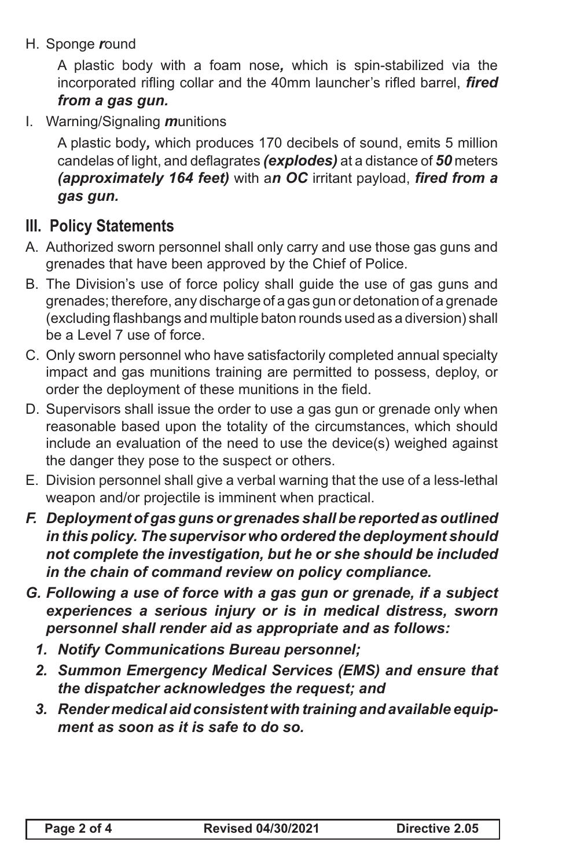H. Sponge *r*ound

A plastic body with a foam nose*,* which is spin-stabilized via the incorporated rifling collar and the 40mm launcher's rifled barrel, *fired from a gas gun.*

I. Warning/Signaling *m*unitions

A plastic body*,* which produces 170 decibels of sound, emits 5 million candelas of light, and deflagrates *(explodes)* at a distance of *50* meters *(approximately 164 feet)* with a*n OC* irritant payload, *fired from a gas gun.*

## **III. Policy Statements**

- A. Authorized sworn personnel shall only carry and use those gas guns and grenades that have been approved by the Chief of Police.
- B. The Division's use of force policy shall guide the use of gas guns and grenades; therefore, any discharge of a gas gun or detonation of a grenade (excluding flashbangs and multiple baton rounds used as a diversion) shall be a Level 7 use of force.
- C. Only sworn personnel who have satisfactorily completed annual specialty impact and gas munitions training are permitted to possess, deploy, or order the deployment of these munitions in the field.
- D. Supervisors shall issue the order to use a gas gun or grenade only when reasonable based upon the totality of the circumstances, which should include an evaluation of the need to use the device(s) weighed against the danger they pose to the suspect or others.
- E. Division personnel shall give a verbal warning that the use of a less-lethal weapon and/or projectile is imminent when practical.
- *F. Deployment of gas guns or grenades shall be reported as outlined in this policy. The supervisor who ordered the deployment should not complete the investigation, but he or she should be included in the chain of command review on policy compliance.*
- *G. Following a use of force with a gas gun or grenade, if a subject experiences a serious injury or is in medical distress, sworn personnel shall render aid as appropriate and as follows:* 
	- *1. Notify Communications Bureau personnel;*
	- *2. Summon Emergency Medical Services (EMS) and ensure that the dispatcher acknowledges the request; and*
	- *3. Render medical aid consistent with training and available equipment as soon as it is safe to do so.*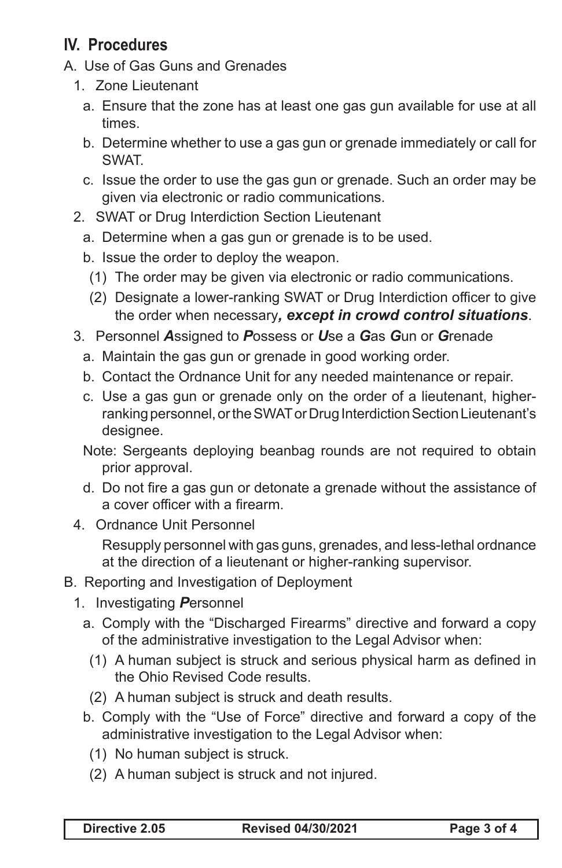# **IV. Procedures**

- A. Use of Gas Guns and Grenades
	- 1. Zone Lieutenant
		- a. Ensure that the zone has at least one gas gun available for use at all times.
		- b. Determine whether to use a gas gun or grenade immediately or call for SWAT.
		- c. Issue the order to use the gas gun or grenade. Such an order may be given via electronic or radio communications.
	- 2. SWAT or Drug Interdiction Section Lieutenant
		- a. Determine when a gas gun or grenade is to be used.
		- b. Issue the order to deploy the weapon.
			- (1) The order may be given via electronic or radio communications.
			- (2) Designate a lower-ranking SWAT or Drug Interdiction officer to give the order when necessary*, except in crowd control situations*.
	- 3. Personnel *A*ssigned to *P*ossess or *U*se a *G*as *G*un or *G*renade
		- a. Maintain the gas gun or grenade in good working order.
		- b. Contact the Ordnance Unit for any needed maintenance or repair.
		- c. Use a gas gun or grenade only on the order of a lieutenant, higherranking personnel, or the SWAT or Drug Interdiction Section Lieutenant's designee.
		- Note: Sergeants deploying beanbag rounds are not required to obtain prior approval.
		- d. Do not fire a gas gun or detonate a grenade without the assistance of a cover officer with a firearm.
	- 4. Ordnance Unit Personnel

Resupply personnel with gas guns, grenades, and less-lethal ordnance at the direction of a lieutenant or higher-ranking supervisor.

- B. Reporting and Investigation of Deployment
	- 1. Investigating *P*ersonnel
		- a. Comply with the "Discharged Firearms" directive and forward a copy of the administrative investigation to the Legal Advisor when:
			- (1) A human subject is struck and serious physical harm as defined in the Ohio Revised Code results.
			- (2) A human subject is struck and death results.
		- b. Comply with the "Use of Force" directive and forward a copy of the administrative investigation to the Legal Advisor when:
			- (1) No human subject is struck.
			- (2) A human subject is struck and not injured.